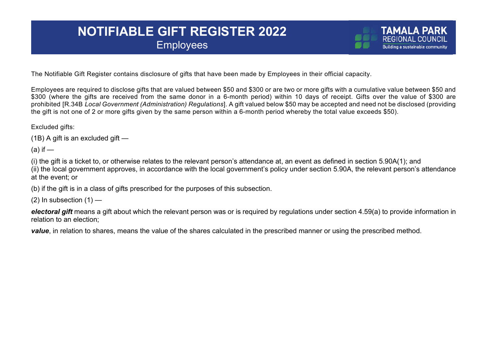## **NOTIFIABLE GIFT REGISTER 2022 Employees**

The Notifiable Gift Register contains disclosure of gifts that have been made by Employees in their official capacity.

Employees are required to disclose gifts that are valued between \$50 and \$300 or are two or more gifts with a cumulative value between \$50 and \$300 (where the gifts are received from the same donor in a 6-month period) within 10 days of receipt. Gifts over the value of \$300 are prohibited [R.34B *Local Government (Administration) Regulations*]. A gift valued below \$50 may be accepted and need not be disclosed (providing the gift is not one of 2 or more gifts given by the same person within a 6-month period whereby the total value exceeds \$50).

Excluded gifts:

(1B) A gift is an excluded gift —

 $(a)$  if  $-$ 

(i) the gift is a ticket to, or otherwise relates to the relevant person's attendance at, an event as defined in section 5.90A(1); and (ii) the local government approves, in accordance with the local government's policy under section 5.90A, the relevant person's attendance at the event; or

(b) if the gift is in a class of gifts prescribed for the purposes of this subsection.

 $(2)$  In subsection  $(1)$  —

*electoral gift* means a gift about which the relevant person was or is required by regulations under section 4.59(a) to provide information in relation to an election;

*value*, in relation to shares, means the value of the shares calculated in the prescribed manner or using the prescribed method.